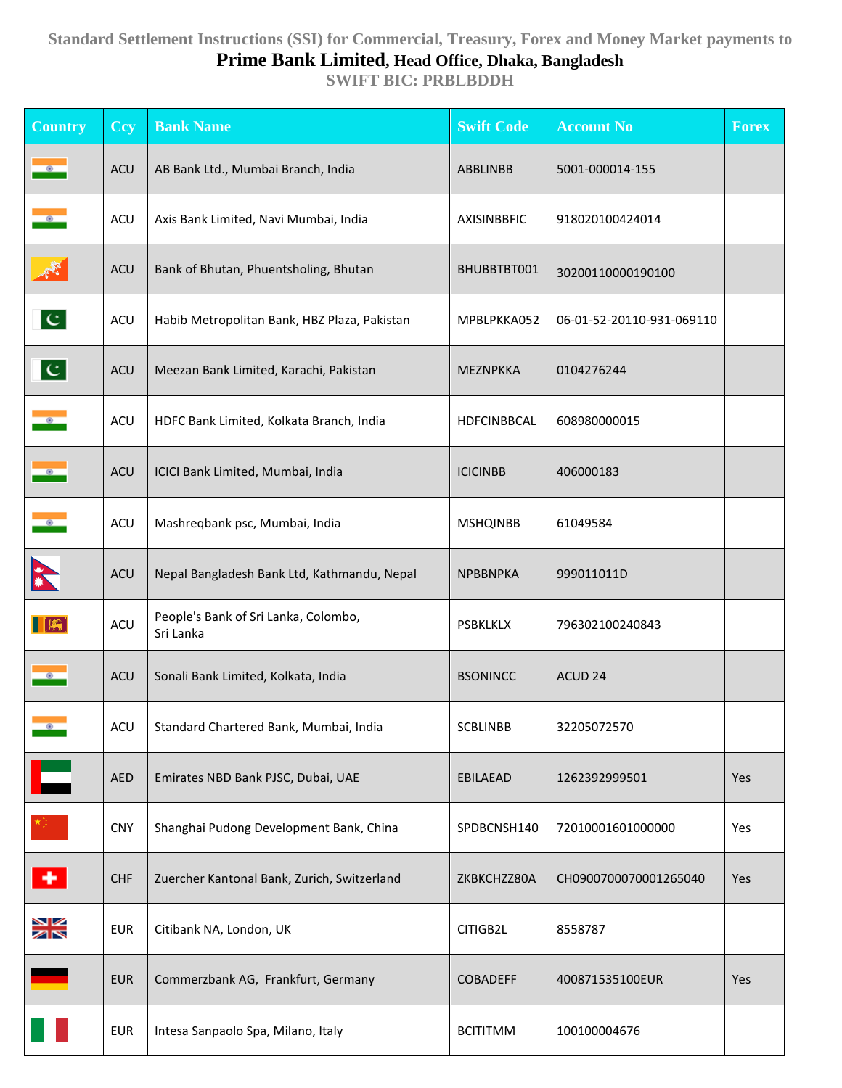## **Standard Settlement Instructions (SSI) for Commercial, Treasury, Forex and Money Market payments to Prime Bank Limited, Head Office, Dhaka, Bangladesh**

**SWIFT BIC: PRBLBDDH**

| <b>Country</b> | <b>Ccy</b> | <b>Bank Name</b>                                  | <b>Swift Code</b> | <b>Account No</b>         | <b>Forex</b> |
|----------------|------------|---------------------------------------------------|-------------------|---------------------------|--------------|
| $\bullet$      | ACU        | AB Bank Ltd., Mumbai Branch, India                | ABBLINBB          | 5001-000014-155           |              |
| $\bullet$      | <b>ACU</b> | Axis Bank Limited, Navi Mumbai, India             | AXISINBBFIC       | 918020100424014           |              |
| 尽              | <b>ACU</b> | Bank of Bhutan, Phuentsholing, Bhutan             | BHUBBTBT001       | 30200110000190100         |              |
| $ {\bf C} $    | <b>ACU</b> | Habib Metropolitan Bank, HBZ Plaza, Pakistan      | MPBLPKKA052       | 06-01-52-20110-931-069110 |              |
| $ {\bf C} $    | <b>ACU</b> | Meezan Bank Limited, Karachi, Pakistan            | MEZNPKKA          | 0104276244                |              |
| $\bullet$      | <b>ACU</b> | HDFC Bank Limited, Kolkata Branch, India          | HDFCINBBCAL       | 608980000015              |              |
| $\bullet$      | <b>ACU</b> | ICICI Bank Limited, Mumbai, India                 | <b>ICICINBB</b>   | 406000183                 |              |
| $\bullet$      | <b>ACU</b> | Mashreqbank psc, Mumbai, India                    | <b>MSHQINBB</b>   | 61049584                  |              |
|                | <b>ACU</b> | Nepal Bangladesh Bank Ltd, Kathmandu, Nepal       | <b>NPBBNPKA</b>   | 999011011D                |              |
| $\blacksquare$ | <b>ACU</b> | People's Bank of Sri Lanka, Colombo,<br>Sri Lanka | <b>PSBKLKLX</b>   | 796302100240843           |              |
| $\bullet$      | <b>ACU</b> | Sonali Bank Limited, Kolkata, India               | <b>BSONINCC</b>   | ACUD <sub>24</sub>        |              |
|                | <b>ACU</b> | Standard Chartered Bank, Mumbai, India            | <b>SCBLINBB</b>   | 32205072570               |              |
| Е              | <b>AED</b> | Emirates NBD Bank PJSC, Dubai, UAE                | <b>EBILAEAD</b>   | 1262392999501             | Yes          |
|                | <b>CNY</b> | Shanghai Pudong Development Bank, China           | SPDBCNSH140       | 72010001601000000         | Yes          |
| ٠              | <b>CHF</b> | Zuercher Kantonal Bank, Zurich, Switzerland       | ZKBKCHZZ80A       | CH0900700070001265040     | Yes          |
| XK             | <b>EUR</b> | Citibank NA, London, UK                           | CITIGB2L          | 8558787                   |              |
|                | <b>EUR</b> | Commerzbank AG, Frankfurt, Germany                | <b>COBADEFF</b>   | 400871535100EUR           | Yes          |
|                | <b>EUR</b> | Intesa Sanpaolo Spa, Milano, Italy                | <b>BCITITMM</b>   | 100100004676              |              |